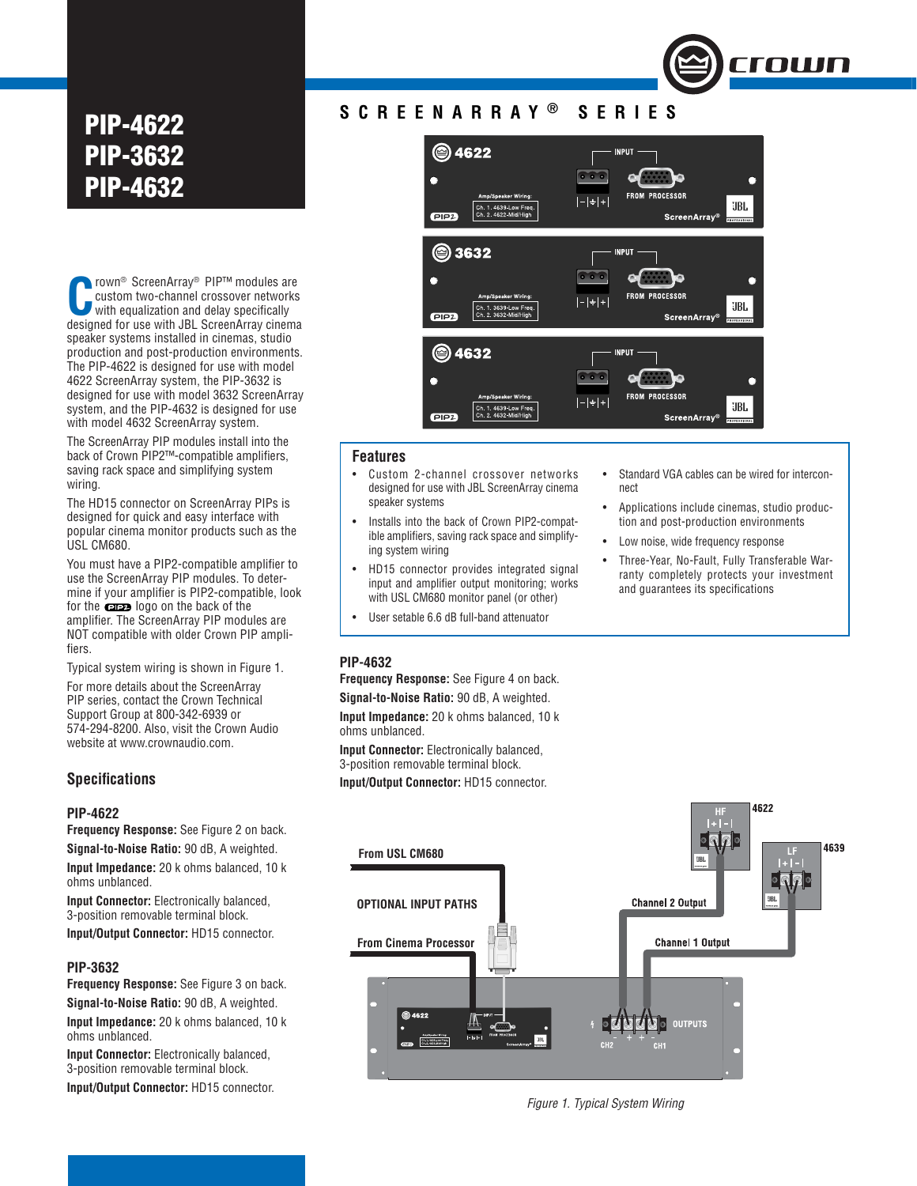## **PIP-4622 PIP-3632 PIP-4632**

CROMO<sup>®</sup> ScreenArray® PIP™ modules are<br>custom two-channel crossover networks<br>with equalization and delay specifically<br>decigned for use with JPL ScreenArray cinema custom two-channel crossover networks with equalization and delay specifically designed for use with JBL ScreenArray cinema speaker systems installed in cinemas, studio production and post-production environments. The PIP-4622 is designed for use with model 4622 ScreenArray system, the PIP-3632 is designed for use with model 3632 ScreenArray system, and the PIP-4632 is designed for use with model 4632 ScreenArray system.

The ScreenArray PIP modules install into the back of Crown PIP2™-compatible amplifiers. saving rack space and simplifying system wiring.

The HD15 connector on ScreenArray PIPs is designed for quick and easy interface with popular cinema monitor products such as the USL CM680.

You must have a PIP2-compatible amplifier to use the ScreenArray PIP modules. To determine if your amplifier is PIP2-compatible, look for the **case** logo on the back of the amplifier. The ScreenArray PIP modules are NOT compatible with older Crown PIP amplifiers.

Typical system wiring is shown in Figure 1.

For more details about the ScreenArray PIP series, contact the Crown Technical Support Group at 800-342-6939 or 574-294-8200. Also, visit the Crown Audio website at www.crownaudio.com.

### **Specifi cations**

#### **PIP-4622**

**Frequency Response:** See Figure 2 on back.

**Signal-to-Noise Ratio:** 90 dB, A weighted.

**Input Impedance:** 20 k ohms balanced, 10 k ohms unblanced.

**Input Connector:** Electronically balanced, 3-position removable terminal block.

**Input/Output Connector:** HD15 connector.

### **PIP-3632**

**Frequency Response:** See Figure 3 on back. **Signal-to-Noise Ratio:** 90 dB, A weighted. **Input Impedance:** 20 k ohms balanced, 10 k ohms unblanced.

**Input Connector:** Electronically balanced, 3-position removable terminal block.

**Input/Output Connector:** HD15 connector.

## **SCREENARRAY ® SERIES**



#### **Features**

- Custom 2-channel crossover networks designed for use with JBL ScreenArray cinema speaker systems
- Installs into the back of Crown PIP2-compatible amplifiers, saving rack space and simplifying system wiring
- HD15 connector provides integrated signal input and amplifier output monitoring; works with USL CM680 monitor panel (or other)
- User setable 6.6 dB full-band attenuator

• Standard VGA cables can be wired for interconnect

**TOWN** 

- Applications include cinemas, studio production and post-production environments
- Low noise, wide frequency response
- Three-Year, No-Fault, Fully Transferable Warranty completely protects your investment and quarantees its specifications

1622



**Frequency Response:** See Figure 4 on back. **Signal-to-Noise Ratio:** 90 dB, A weighted. **Input Impedance:** 20 k ohms balanced, 10 k ohms unblanced.

**Input Connector:** Electronically balanced, 3-position removable terminal block.

**Input/Output Connector:** HD15 connector.



*Figure 1. Typical System Wiring*